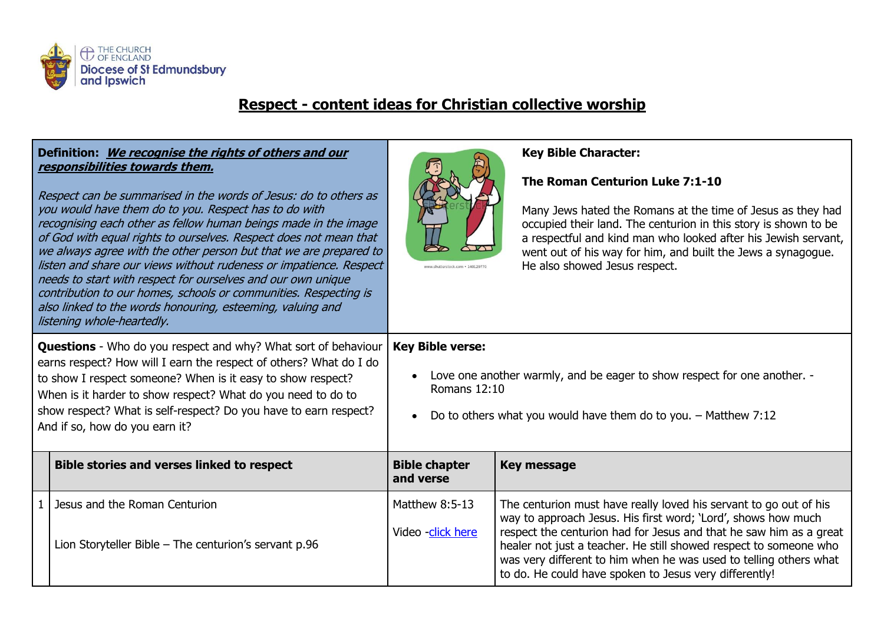

## **Respect - content ideas for Christian collective worship**

| Definition: We recognise the rights of others and our<br>responsibilities towards them.<br>Respect can be summarised in the words of Jesus: do to others as<br>you would have them do to you. Respect has to do with<br>recognising each other as fellow human beings made in the image<br>of God with equal rights to ourselves. Respect does not mean that<br>we always agree with the other person but that we are prepared to<br>listen and share our views without rudeness or impatience. Respect<br>needs to start with respect for ourselves and our own unique<br>contribution to our homes, schools or communities. Respecting is<br>also linked to the words honouring, esteeming, valuing and<br>listening whole-heartedly. |                                                                                        | www.shutterstock.com · 140129770                                                                                                                                                                    | <b>Key Bible Character:</b><br>The Roman Centurion Luke 7:1-10<br>Many Jews hated the Romans at the time of Jesus as they had<br>occupied their land. The centurion in this story is shown to be<br>a respectful and kind man who looked after his Jewish servant,<br>went out of his way for him, and built the Jews a synagogue.<br>He also showed Jesus respect.                                          |  |
|-----------------------------------------------------------------------------------------------------------------------------------------------------------------------------------------------------------------------------------------------------------------------------------------------------------------------------------------------------------------------------------------------------------------------------------------------------------------------------------------------------------------------------------------------------------------------------------------------------------------------------------------------------------------------------------------------------------------------------------------|----------------------------------------------------------------------------------------|-----------------------------------------------------------------------------------------------------------------------------------------------------------------------------------------------------|--------------------------------------------------------------------------------------------------------------------------------------------------------------------------------------------------------------------------------------------------------------------------------------------------------------------------------------------------------------------------------------------------------------|--|
| <b>Questions</b> - Who do you respect and why? What sort of behaviour<br>earns respect? How will I earn the respect of others? What do I do<br>to show I respect someone? When is it easy to show respect?<br>When is it harder to show respect? What do you need to do to<br>show respect? What is self-respect? Do you have to earn respect?<br>And if so, how do you earn it?                                                                                                                                                                                                                                                                                                                                                        |                                                                                        | <b>Key Bible verse:</b><br>Love one another warmly, and be eager to show respect for one another. -<br>Romans 12:10<br>Do to others what you would have them do to you. - Matthew 7:12<br>$\bullet$ |                                                                                                                                                                                                                                                                                                                                                                                                              |  |
|                                                                                                                                                                                                                                                                                                                                                                                                                                                                                                                                                                                                                                                                                                                                         | <b>Bible stories and verses linked to respect</b>                                      | <b>Bible chapter</b><br>and verse                                                                                                                                                                   | <b>Key message</b>                                                                                                                                                                                                                                                                                                                                                                                           |  |
| $\mathbf{1}$                                                                                                                                                                                                                                                                                                                                                                                                                                                                                                                                                                                                                                                                                                                            | Jesus and the Roman Centurion<br>Lion Storyteller Bible - The centurion's servant p.96 | Matthew 8:5-13<br>Video -click here                                                                                                                                                                 | The centurion must have really loved his servant to go out of his<br>way to approach Jesus. His first word; 'Lord', shows how much<br>respect the centurion had for Jesus and that he saw him as a great<br>healer not just a teacher. He still showed respect to someone who<br>was very different to him when he was used to telling others what<br>to do. He could have spoken to Jesus very differently! |  |